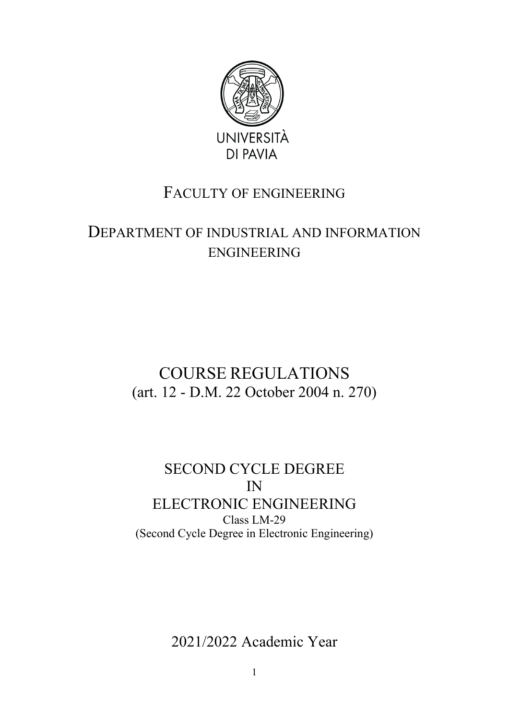

# FACULTY OF ENGINEERING

# DEPARTMENT OF INDUSTRIAL AND INFORMATION ENGINEERING

# COURSE REGULATIONS (art. 12 - D.M. 22 October 2004 n. 270)

## SECOND CYCLE DEGREE IN ELECTRONIC ENGINEERING Class LM-29 (Second Cycle Degree in Electronic Engineering)

# 2021/2022 Academic Year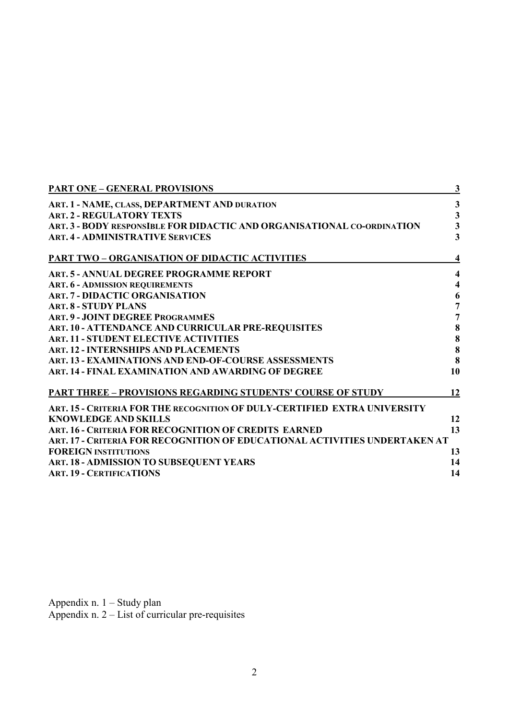| <b>PART ONE - GENERAL PROVISIONS</b>                                       | $\mathbf{3}$            |
|----------------------------------------------------------------------------|-------------------------|
| ART. 1 - NAME, CLASS, DEPARTMENT AND DURATION                              | $\mathbf{3}$            |
| <b>ART. 2 - REGULATORY TEXTS</b>                                           | $\mathbf{3}$            |
| ART. 3 - BODY RESPONSIBLE FOR DIDACTIC AND ORGANISATIONAL CO-ORDINATION    | $\overline{\mathbf{3}}$ |
| <b>ART. 4 - ADMINISTRATIVE SERVICES</b>                                    | $\overline{\mathbf{3}}$ |
| <b>PART TWO - ORGANISATION OF DIDACTIC ACTIVITIES</b>                      |                         |
| ART. 5 - ANNUAL DEGREE PROGRAMME REPORT                                    | 4                       |
| <b>ART. 6 - ADMISSION REQUIREMENTS</b>                                     | $\overline{\mathbf{4}}$ |
| <b>ART. 7 - DIDACTIC ORGANISATION</b>                                      | 6                       |
| <b>ART. 8 - STUDY PLANS</b>                                                | $\overline{7}$          |
| <b>ART. 9 - JOINT DEGREE PROGRAMMES</b>                                    | $\overline{7}$          |
| ART. 10 - ATTENDANCE AND CURRICULAR PRE-REQUISITES                         | 8                       |
| <b>ART. 11 - STUDENT ELECTIVE ACTIVITIES</b>                               | 8                       |
| <b>ART. 12 - INTERNSHIPS AND PLACEMENTS</b>                                | 8                       |
| <b>ART. 13 - EXAMINATIONS AND END-OF-COURSE ASSESSMENTS</b>                | 8                       |
| ART. 14 - FINAL EXAMINATION AND AWARDING OF DEGREE                         | 10                      |
| <b>PART THREE - PROVISIONS REGARDING STUDENTS' COURSE OF STUDY</b>         | 12                      |
| ART. 15 - CRITERIA FOR THE RECOGNITION OF DULY-CERTIFIED EXTRA UNIVERSITY  |                         |
| <b>KNOWLEDGE AND SKILLS</b>                                                | 12                      |
| ART. 16 - CRITERIA FOR RECOGNITION OF CREDITS EARNED                       | 13                      |
| ART. 17 - CRITERIA FOR RECOGNITION OF EDUCATIONAL ACTIVITIES UNDERTAKEN AT |                         |
| <b>FOREIGN INSTITUTIONS</b>                                                | 13                      |
| <b>ART. 18 - ADMISSION TO SUBSEQUENT YEARS</b>                             | 14                      |
| <b>ART. 19 - CERTIFICATIONS</b>                                            | 14                      |
|                                                                            |                         |

Appendix n. 1 – Study plan Appendix n. 2 – List of curricular pre-requisites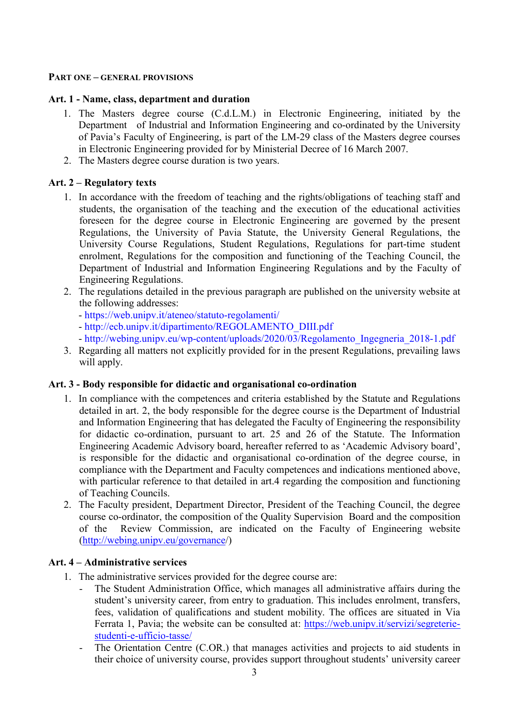#### **PART ONE – GENERAL PROVISIONS**

#### **Art. 1 - Name, class, department and duration**

- 1. The Masters degree course (C.d.L.M.) in Electronic Engineering, initiated by the Department of Industrial and Information Engineering and co-ordinated by the University of Pavia's Faculty of Engineering, is part of the LM-29 class of the Masters degree courses in Electronic Engineering provided for by Ministerial Decree of 16 March 2007.
- 2. The Masters degree course duration is two years.

#### **Art. 2 – Regulatory texts**

- 1. In accordance with the freedom of teaching and the rights/obligations of teaching staff and students, the organisation of the teaching and the execution of the educational activities foreseen for the degree course in Electronic Engineering are governed by the present Regulations, the University of Pavia Statute, the University General Regulations, the University Course Regulations, Student Regulations, Regulations for part-time student enrolment, Regulations for the composition and functioning of the Teaching Council, the Department of Industrial and Information Engineering Regulations and by the Faculty of Engineering Regulations.
- 2. The regulations detailed in the previous paragraph are published on the university website at the following addresses:
	- https://web.unipv.it/ateneo/statuto-regolamenti/
	- http://ecb.unipv.it/dipartimento/REGOLAMENTO\_DIII.pdf
	- http://webing.unipv.eu/wp-content/uploads/2020/03/Regolamento\_Ingegneria\_2018-1.pdf
- 3. Regarding all matters not explicitly provided for in the present Regulations, prevailing laws will apply.

#### **Art. 3 - Body responsible for didactic and organisational co-ordination**

- 1. In compliance with the competences and criteria established by the Statute and Regulations detailed in art. 2, the body responsible for the degree course is the Department of Industrial and Information Engineering that has delegated the Faculty of Engineering the responsibility for didactic co-ordination, pursuant to art. 25 and 26 of the Statute. The Information Engineering Academic Advisory board, hereafter referred to as 'Academic Advisory board', is responsible for the didactic and organisational co-ordination of the degree course, in compliance with the Department and Faculty competences and indications mentioned above, with particular reference to that detailed in art.4 regarding the composition and functioning of Teaching Councils.
- 2. The Faculty president, Department Director, President of the Teaching Council, the degree course co-ordinator, the composition of the Quality Supervision Board and the composition of the Review Commission, are indicated on the Faculty of Engineering website [\(http://webing.unipv.eu/governance/](http://webing.unipv.eu/governance/))

#### **Art. 4 – Administrative services**

- 1. The administrative services provided for the degree course are:
	- The Student Administration Office, which manages all administrative affairs during the student's university career, from entry to graduation. This includes enrolment, transfers, fees, validation of qualifications and student mobility. The offices are situated in Via Ferrata 1, Pavia; the website can be consulted at: [https://web.unipv.it/servizi/segreterie](https://web.unipv.it/servizi/segreterie-studenti-e-ufficio-tasse/)[studenti-e-ufficio-tasse/](https://web.unipv.it/servizi/segreterie-studenti-e-ufficio-tasse/)
	- The Orientation Centre (C.OR.) that manages activities and projects to aid students in their choice of university course, provides support throughout students' university career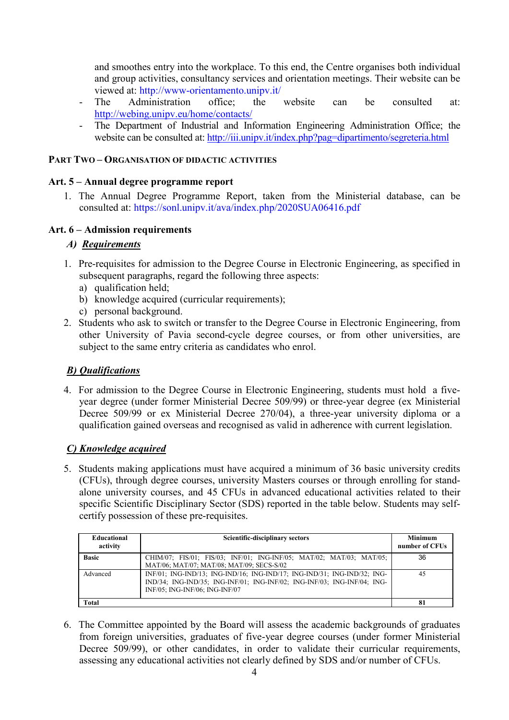and smoothes entry into the workplace. To this end, the Centre organises both individual and group activities, consultancy services and orientation meetings. Their website can be viewed at: http://www-orientamento.unipv.it/

- The Administration office; the website can be consulted at: <http://webing.unipv.eu/home/contacts/>
- The Department of Industrial and Information Engineering Administration Office; the website can be consulted at:<http://iii.unipv.it/index.php?pag=dipartimento/segreteria.html>

#### **PART TWO – ORGANISATION OF DIDACTIC ACTIVITIES**

#### **Art. 5 – Annual degree programme report**

1. The Annual Degree Programme Report, taken from the Ministerial database, can be consulted at: https://sonl.unipv.it/ava/index.php/2020SUA06416.pdf

#### **Art. 6 – Admission requirements**

#### *A) Requirements*

- 1. Pre-requisites for admission to the Degree Course in Electronic Engineering, as specified in subsequent paragraphs, regard the following three aspects:
	- a) qualification held:
	- b) knowledge acquired (curricular requirements);
	- c) personal background.
- 2. Students who ask to switch or transfer to the Degree Course in Electronic Engineering, from other University of Pavia second-cycle degree courses, or from other universities, are subject to the same entry criteria as candidates who enrol.

#### *B) Qualifications*

4. For admission to the Degree Course in Electronic Engineering, students must hold a fiveyear degree (under former Ministerial Decree 509/99) or three-year degree (ex Ministerial Decree 509/99 or ex Ministerial Decree 270/04), a three-year university diploma or a qualification gained overseas and recognised as valid in adherence with current legislation.

#### *C) Knowledge acquired*

5. Students making applications must have acquired a minimum of 36 basic university credits (CFUs), through degree courses, university Masters courses or through enrolling for standalone university courses, and 45 CFUs in advanced educational activities related to their specific Scientific Disciplinary Sector (SDS) reported in the table below. Students may selfcertify possession of these pre-requisites.

| Educational<br>activity | Scientific-disciplinary sectors                                                                                                                                                        | <b>Minimum</b><br>number of CFUs |
|-------------------------|----------------------------------------------------------------------------------------------------------------------------------------------------------------------------------------|----------------------------------|
| <b>Basic</b>            | CHIM/07; FIS/01; FIS/03; INF/01; ING-INF/05; MAT/02; MAT/03; MAT/05;<br>MAT/06; MAT/07; MAT/08; MAT/09; SECS-S/02                                                                      | 36                               |
| Advanced                | INF/01; ING-IND/13; ING-IND/16; ING-IND/17; ING-IND/31; ING-IND/32; ING-<br>IND/34; ING-IND/35; ING-INF/01; ING-INF/02; ING-INF/03; ING-INF/04; ING-<br>INF/05: ING-INF/06: ING-INF/07 | 45                               |
| <b>Total</b>            |                                                                                                                                                                                        | 81                               |

6. The Committee appointed by the Board will assess the academic backgrounds of graduates from foreign universities, graduates of five-year degree courses (under former Ministerial Decree 509/99), or other candidates, in order to validate their curricular requirements, assessing any educational activities not clearly defined by SDS and/or number of CFUs.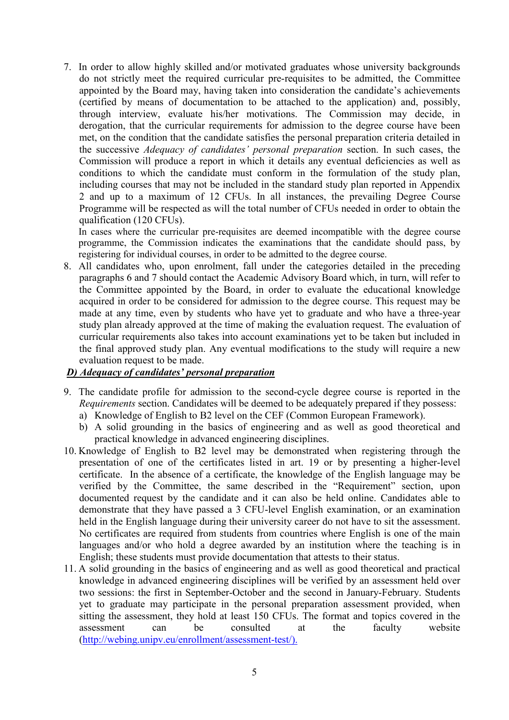7. In order to allow highly skilled and/or motivated graduates whose university backgrounds do not strictly meet the required curricular pre-requisites to be admitted, the Committee appointed by the Board may, having taken into consideration the candidate's achievements (certified by means of documentation to be attached to the application) and, possibly, through interview, evaluate his/her motivations. The Commission may decide, in derogation, that the curricular requirements for admission to the degree course have been met, on the condition that the candidate satisfies the personal preparation criteria detailed in the successive *Adequacy of candidates' personal preparation* section. In such cases, the Commission will produce a report in which it details any eventual deficiencies as well as conditions to which the candidate must conform in the formulation of the study plan, including courses that may not be included in the standard study plan reported in Appendix 2 and up to a maximum of 12 CFUs. In all instances, the prevailing Degree Course Programme will be respected as will the total number of CFUs needed in order to obtain the qualification (120 CFUs).

In cases where the curricular pre-requisites are deemed incompatible with the degree course programme, the Commission indicates the examinations that the candidate should pass, by registering for individual courses, in order to be admitted to the degree course.

8. All candidates who, upon enrolment, fall under the categories detailed in the preceding paragraphs 6 and 7 should contact the Academic Advisory Board which, in turn, will refer to the Committee appointed by the Board, in order to evaluate the educational knowledge acquired in order to be considered for admission to the degree course. This request may be made at any time, even by students who have yet to graduate and who have a three-year study plan already approved at the time of making the evaluation request. The evaluation of curricular requirements also takes into account examinations yet to be taken but included in the final approved study plan. Any eventual modifications to the study will require a new evaluation request to be made.

#### *D) Adequacy of candidates' personal preparation*

- 9. The candidate profile for admission to the second-cycle degree course is reported in the *Requirements* section. Candidates will be deemed to be adequately prepared if they possess:
	- a) Knowledge of English to B2 level on the CEF (Common European Framework).
	- b) A solid grounding in the basics of engineering and as well as good theoretical and practical knowledge in advanced engineering disciplines.
- 10. Knowledge of English to B2 level may be demonstrated when registering through the presentation of one of the certificates listed in art. 19 or by presenting a higher-level certificate. In the absence of a certificate, the knowledge of the English language may be verified by the Committee, the same described in the "Requirement" section, upon documented request by the candidate and it can also be held online. Candidates able to demonstrate that they have passed a 3 CFU-level English examination, or an examination held in the English language during their university career do not have to sit the assessment. No certificates are required from students from countries where English is one of the main languages and/or who hold a degree awarded by an institution where the teaching is in English; these students must provide documentation that attests to their status.
- 11. A solid grounding in the basics of engineering and as well as good theoretical and practical knowledge in advanced engineering disciplines will be verified by an assessment held over two sessions: the first in September-October and the second in January-February. Students yet to graduate may participate in the personal preparation assessment provided, when sitting the assessment, they hold at least 150 CFUs. The format and topics covered in the assessment can be consulted at the faculty website [\(http://webing.unipv.eu/enrollment/assessment-test/\).](http://webing.unipv.eu/enrollment/assessment-test/).)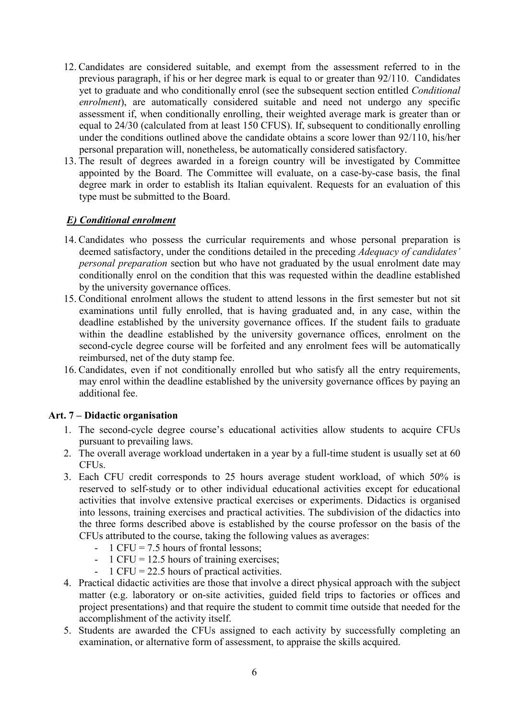- 12. Candidates are considered suitable, and exempt from the assessment referred to in the previous paragraph, if his or her degree mark is equal to or greater than 92/110. Candidates yet to graduate and who conditionally enrol (see the subsequent section entitled *Conditional enrolment*), are automatically considered suitable and need not undergo any specific assessment if, when conditionally enrolling, their weighted average mark is greater than or equal to 24/30 (calculated from at least 150 CFUS). If, subsequent to conditionally enrolling under the conditions outlined above the candidate obtains a score lower than 92/110, his/her personal preparation will, nonetheless, be automatically considered satisfactory.
- 13. The result of degrees awarded in a foreign country will be investigated by Committee appointed by the Board. The Committee will evaluate, on a case-by-case basis, the final degree mark in order to establish its Italian equivalent. Requests for an evaluation of this type must be submitted to the Board.

### *E) Conditional enrolment*

- 14. Candidates who possess the curricular requirements and whose personal preparation is deemed satisfactory, under the conditions detailed in the preceding *Adequacy of candidates' personal preparation* section but who have not graduated by the usual enrolment date may conditionally enrol on the condition that this was requested within the deadline established by the university governance offices.
- 15. Conditional enrolment allows the student to attend lessons in the first semester but not sit examinations until fully enrolled, that is having graduated and, in any case, within the deadline established by the university governance offices. If the student fails to graduate within the deadline established by the university governance offices, enrolment on the second-cycle degree course will be forfeited and any enrolment fees will be automatically reimbursed, net of the duty stamp fee.
- 16. Candidates, even if not conditionally enrolled but who satisfy all the entry requirements, may enrol within the deadline established by the university governance offices by paying an additional fee.

#### **Art. 7 – Didactic organisation**

- 1. The second-cycle degree course's educational activities allow students to acquire CFUs pursuant to prevailing laws.
- 2. The overall average workload undertaken in a year by a full-time student is usually set at 60 CFUs.
- 3. Each CFU credit corresponds to 25 hours average student workload, of which 50% is reserved to self-study or to other individual educational activities except for educational activities that involve extensive practical exercises or experiments. Didactics is organised into lessons, training exercises and practical activities. The subdivision of the didactics into the three forms described above is established by the course professor on the basis of the CFUs attributed to the course, taking the following values as averages:
	- 1 CFU = 7.5 hours of frontal lessons;
	- $-1$  CFU = 12.5 hours of training exercises;
	- 1 CFU = 22.5 hours of practical activities.
- 4. Practical didactic activities are those that involve a direct physical approach with the subject matter (e.g. laboratory or on-site activities, guided field trips to factories or offices and project presentations) and that require the student to commit time outside that needed for the accomplishment of the activity itself.
- 5. Students are awarded the CFUs assigned to each activity by successfully completing an examination, or alternative form of assessment, to appraise the skills acquired.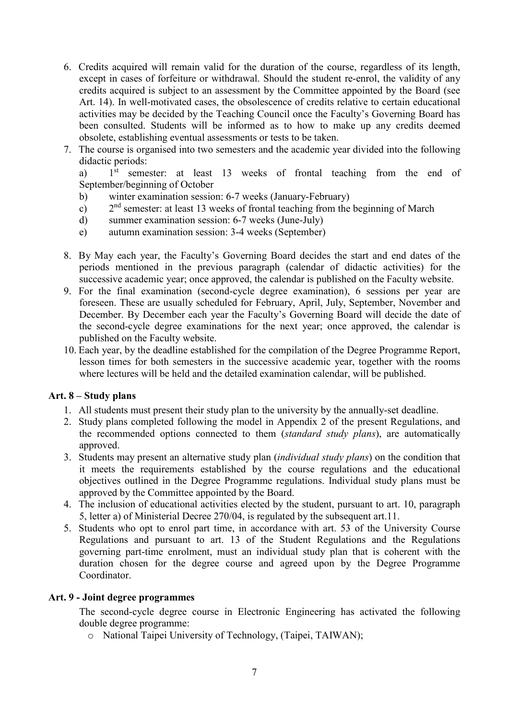- 6. Credits acquired will remain valid for the duration of the course, regardless of its length, except in cases of forfeiture or withdrawal. Should the student re-enrol, the validity of any credits acquired is subject to an assessment by the Committee appointed by the Board (see Art. 14). In well-motivated cases, the obsolescence of credits relative to certain educational activities may be decided by the Teaching Council once the Faculty's Governing Board has been consulted. Students will be informed as to how to make up any credits deemed obsolete, establishing eventual assessments or tests to be taken.
- 7. The course is organised into two semesters and the academic year divided into the following didactic periods:

a)  $1^{st}$  semester: at least 13 weeks of frontal teaching from the end of September/beginning of October

- b) winter examination session: 6-7 weeks (January-February)
- c)  $2<sup>nd</sup>$  semester: at least 13 weeks of frontal teaching from the beginning of March
- d) summer examination session: 6-7 weeks (June-July)
- e) autumn examination session: 3-4 weeks (September)
- 8. By May each year, the Faculty's Governing Board decides the start and end dates of the periods mentioned in the previous paragraph (calendar of didactic activities) for the successive academic year; once approved, the calendar is published on the Faculty website.
- 9. For the final examination (second-cycle degree examination), 6 sessions per year are foreseen. These are usually scheduled for February, April, July, September, November and December. By December each year the Faculty's Governing Board will decide the date of the second-cycle degree examinations for the next year; once approved, the calendar is published on the Faculty website.
- 10. Each year, by the deadline established for the compilation of the Degree Programme Report, lesson times for both semesters in the successive academic year, together with the rooms where lectures will be held and the detailed examination calendar, will be published.

#### **Art. 8 – Study plans**

- 1. All students must present their study plan to the university by the annually-set deadline.
- 2. Study plans completed following the model in Appendix 2 of the present Regulations, and the recommended options connected to them (*standard study plans*), are automatically approved.
- 3. Students may present an alternative study plan (*individual study plans*) on the condition that it meets the requirements established by the course regulations and the educational objectives outlined in the Degree Programme regulations. Individual study plans must be approved by the Committee appointed by the Board.
- 4. The inclusion of educational activities elected by the student, pursuant to art. 10, paragraph 5, letter a) of Ministerial Decree 270/04, is regulated by the subsequent art.11.
- 5. Students who opt to enrol part time, in accordance with art. 53 of the University Course Regulations and pursuant to art. 13 of the Student Regulations and the Regulations governing part-time enrolment, must an individual study plan that is coherent with the duration chosen for the degree course and agreed upon by the Degree Programme Coordinator.

#### **Art. 9 - Joint degree programmes**

The second-cycle degree course in Electronic Engineering has activated the following double degree programme:

o National Taipei University of Technology, (Taipei, TAIWAN);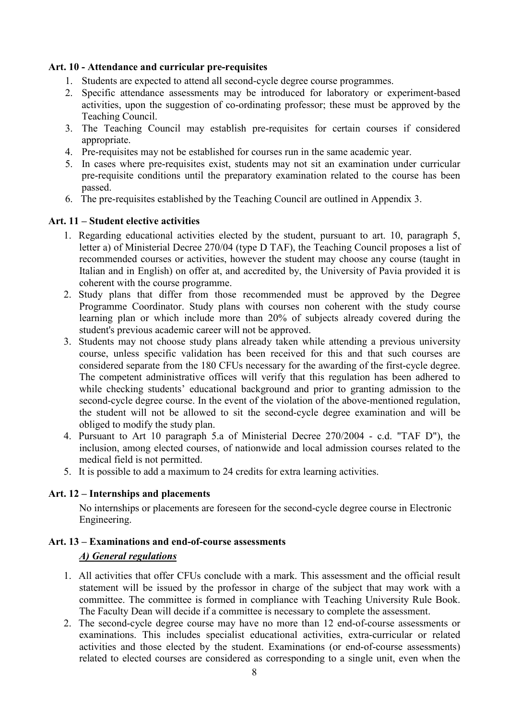#### **Art. 10 - Attendance and curricular pre-requisites**

- 1. Students are expected to attend all second-cycle degree course programmes.
- 2. Specific attendance assessments may be introduced for laboratory or experiment-based activities, upon the suggestion of co-ordinating professor; these must be approved by the Teaching Council.
- 3. The Teaching Council may establish pre-requisites for certain courses if considered appropriate.
- 4. Pre-requisites may not be established for courses run in the same academic year.
- 5. In cases where pre-requisites exist, students may not sit an examination under curricular pre-requisite conditions until the preparatory examination related to the course has been passed.
- 6. The pre-requisites established by the Teaching Council are outlined in Appendix 3.

#### **Art. 11 – Student elective activities**

- 1. Regarding educational activities elected by the student, pursuant to art. 10, paragraph 5, letter a) of Ministerial Decree 270/04 (type D TAF), the Teaching Council proposes a list of recommended courses or activities, however the student may choose any course (taught in Italian and in English) on offer at, and accredited by, the University of Pavia provided it is coherent with the course programme.
- 2. Study plans that differ from those recommended must be approved by the Degree Programme Coordinator. Study plans with courses non coherent with the study course learning plan or which include more than 20% of subjects already covered during the student's previous academic career will not be approved.
- 3. Students may not choose study plans already taken while attending a previous university course, unless specific validation has been received for this and that such courses are considered separate from the 180 CFUs necessary for the awarding of the first-cycle degree. The competent administrative offices will verify that this regulation has been adhered to while checking students' educational background and prior to granting admission to the second-cycle degree course. In the event of the violation of the above-mentioned regulation, the student will not be allowed to sit the second-cycle degree examination and will be obliged to modify the study plan.
- 4. Pursuant to Art 10 paragraph 5.a of Ministerial Decree 270/2004 c.d. "TAF D"), the inclusion, among elected courses, of nationwide and local admission courses related to the medical field is not permitted.
- 5. It is possible to add a maximum to 24 credits for extra learning activities.

#### **Art. 12 – Internships and placements**

No internships or placements are foreseen for the second-cycle degree course in Electronic Engineering.

#### **Art. 13 – Examinations and end-of-course assessments**

#### *A) General regulations*

- 1. All activities that offer CFUs conclude with a mark. This assessment and the official result statement will be issued by the professor in charge of the subject that may work with a committee. The committee is formed in compliance with Teaching University Rule Book. The Faculty Dean will decide if a committee is necessary to complete the assessment.
- 2. The second-cycle degree course may have no more than 12 end-of-course assessments or examinations. This includes specialist educational activities, extra-curricular or related activities and those elected by the student. Examinations (or end-of-course assessments) related to elected courses are considered as corresponding to a single unit, even when the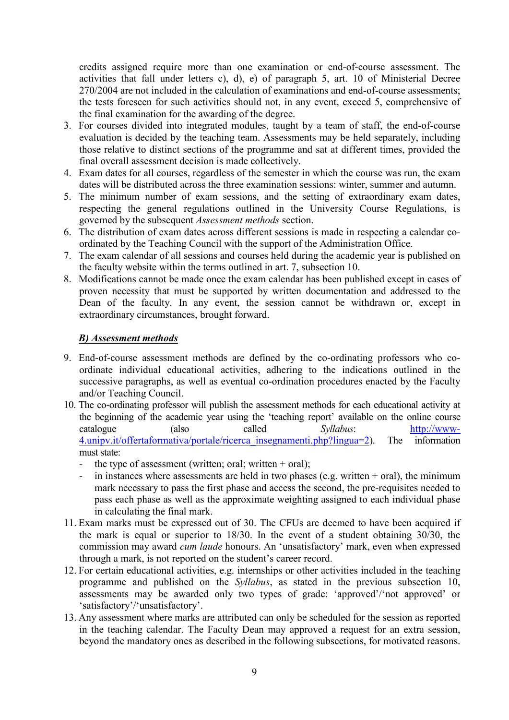credits assigned require more than one examination or end-of-course assessment. The activities that fall under letters c), d), e) of paragraph 5, art. 10 of Ministerial Decree 270/2004 are not included in the calculation of examinations and end-of-course assessments; the tests foreseen for such activities should not, in any event, exceed 5, comprehensive of the final examination for the awarding of the degree.

- 3. For courses divided into integrated modules, taught by a team of staff, the end-of-course evaluation is decided by the teaching team. Assessments may be held separately, including those relative to distinct sections of the programme and sat at different times, provided the final overall assessment decision is made collectively.
- 4. Exam dates for all courses, regardless of the semester in which the course was run, the exam dates will be distributed across the three examination sessions: winter, summer and autumn.
- 5. The minimum number of exam sessions, and the setting of extraordinary exam dates, respecting the general regulations outlined in the University Course Regulations, is governed by the subsequent *Assessment methods* section.
- 6. The distribution of exam dates across different sessions is made in respecting a calendar coordinated by the Teaching Council with the support of the Administration Office.
- 7. The exam calendar of all sessions and courses held during the academic year is published on the faculty website within the terms outlined in art. 7, subsection 10.
- 8. Modifications cannot be made once the exam calendar has been published except in cases of proven necessity that must be supported by written documentation and addressed to the Dean of the faculty. In any event, the session cannot be withdrawn or, except in extraordinary circumstances, brought forward.

#### *B) Assessment methods*

- 9. End-of-course assessment methods are defined by the co-ordinating professors who coordinate individual educational activities, adhering to the indications outlined in the successive paragraphs, as well as eventual co-ordination procedures enacted by the Faculty and/or Teaching Council.
- 10. The co-ordinating professor will publish the assessment methods for each educational activity at the beginning of the academic year using the 'teaching report' available on the online course catalogue (also called *Syllabus*: [http://www-](http://www-4.unipv.it/offertaformativa/portale/ricerca_insegnamenti.php?lingua=2)[4.unipv.it/offertaformativa/portale/ricerca\\_insegnamenti.php?lingua=2\)](http://www-4.unipv.it/offertaformativa/portale/ricerca_insegnamenti.php?lingua=2). The information must state:
	- the type of assessment (written; oral; written  $+$  oral);
	- in instances where assessments are held in two phases (e.g. written  $+$  oral), the minimum mark necessary to pass the first phase and access the second, the pre-requisites needed to pass each phase as well as the approximate weighting assigned to each individual phase in calculating the final mark.
- 11. Exam marks must be expressed out of 30. The CFUs are deemed to have been acquired if the mark is equal or superior to 18/30. In the event of a student obtaining 30/30, the commission may award *cum laude* honours. An 'unsatisfactory' mark, even when expressed through a mark, is not reported on the student's career record.
- 12. For certain educational activities, e.g. internships or other activities included in the teaching programme and published on the *Syllabus*, as stated in the previous subsection 10, assessments may be awarded only two types of grade: 'approved'/'not approved' or 'satisfactory'/'unsatisfactory'.
- 13. Any assessment where marks are attributed can only be scheduled for the session as reported in the teaching calendar. The Faculty Dean may approved a request for an extra session, beyond the mandatory ones as described in the following subsections, for motivated reasons.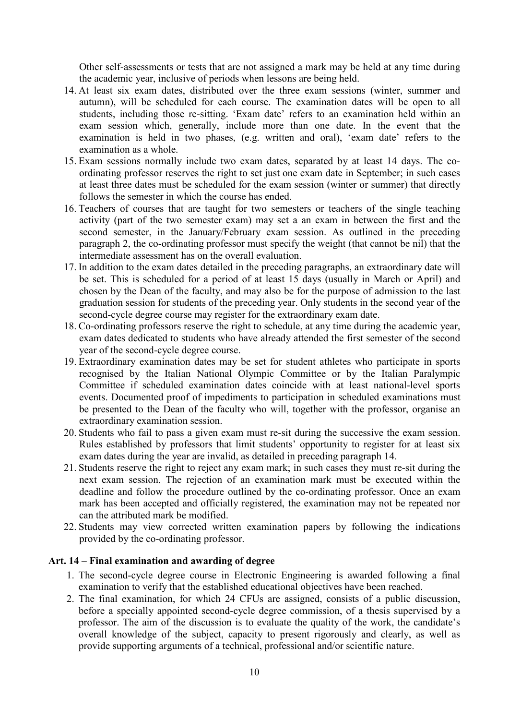Other self-assessments or tests that are not assigned a mark may be held at any time during the academic year, inclusive of periods when lessons are being held.

- 14. At least six exam dates, distributed over the three exam sessions (winter, summer and autumn), will be scheduled for each course. The examination dates will be open to all students, including those re-sitting. 'Exam date' refers to an examination held within an exam session which, generally, include more than one date. In the event that the examination is held in two phases, (e.g. written and oral), 'exam date' refers to the examination as a whole.
- 15. Exam sessions normally include two exam dates, separated by at least 14 days. The coordinating professor reserves the right to set just one exam date in September; in such cases at least three dates must be scheduled for the exam session (winter or summer) that directly follows the semester in which the course has ended.
- 16. Teachers of courses that are taught for two semesters or teachers of the single teaching activity (part of the two semester exam) may set a an exam in between the first and the second semester, in the January/February exam session. As outlined in the preceding paragraph 2, the co-ordinating professor must specify the weight (that cannot be nil) that the intermediate assessment has on the overall evaluation.
- 17. In addition to the exam dates detailed in the preceding paragraphs, an extraordinary date will be set. This is scheduled for a period of at least 15 days (usually in March or April) and chosen by the Dean of the faculty, and may also be for the purpose of admission to the last graduation session for students of the preceding year. Only students in the second year of the second-cycle degree course may register for the extraordinary exam date.
- 18. Co-ordinating professors reserve the right to schedule, at any time during the academic year, exam dates dedicated to students who have already attended the first semester of the second year of the second-cycle degree course.
- 19. Extraordinary examination dates may be set for student athletes who participate in sports recognised by the Italian National Olympic Committee or by the Italian Paralympic Committee if scheduled examination dates coincide with at least national-level sports events. Documented proof of impediments to participation in scheduled examinations must be presented to the Dean of the faculty who will, together with the professor, organise an extraordinary examination session.
- 20. Students who fail to pass a given exam must re-sit during the successive the exam session. Rules established by professors that limit students' opportunity to register for at least six exam dates during the year are invalid, as detailed in preceding paragraph 14.
- 21. Students reserve the right to reject any exam mark; in such cases they must re-sit during the next exam session. The rejection of an examination mark must be executed within the deadline and follow the procedure outlined by the co-ordinating professor. Once an exam mark has been accepted and officially registered, the examination may not be repeated nor can the attributed mark be modified.
- 22. Students may view corrected written examination papers by following the indications provided by the co-ordinating professor.

#### **Art. 14 – Final examination and awarding of degree**

- 1. The second-cycle degree course in Electronic Engineering is awarded following a final examination to verify that the established educational objectives have been reached.
- 2. The final examination, for which 24 CFUs are assigned, consists of a public discussion, before a specially appointed second-cycle degree commission, of a thesis supervised by a professor. The aim of the discussion is to evaluate the quality of the work, the candidate's overall knowledge of the subject, capacity to present rigorously and clearly, as well as provide supporting arguments of a technical, professional and/or scientific nature.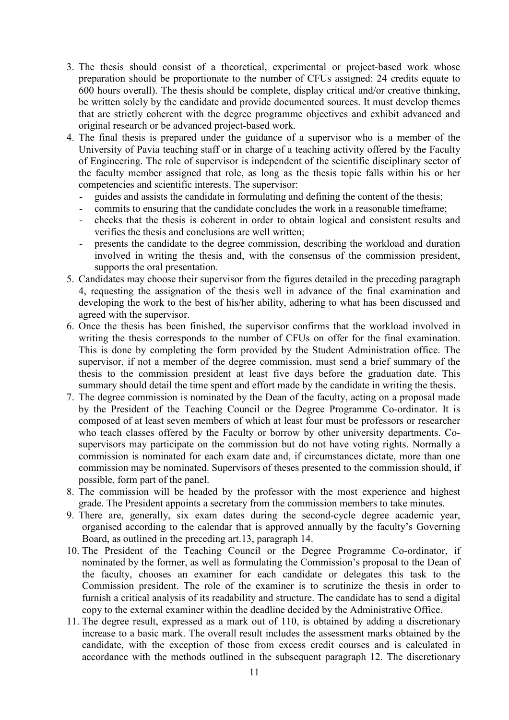- 3. The thesis should consist of a theoretical, experimental or project-based work whose preparation should be proportionate to the number of CFUs assigned: 24 credits equate to 600 hours overall). The thesis should be complete, display critical and/or creative thinking, be written solely by the candidate and provide documented sources. It must develop themes that are strictly coherent with the degree programme objectives and exhibit advanced and original research or be advanced project-based work.
- 4. The final thesis is prepared under the guidance of a supervisor who is a member of the University of Pavia teaching staff or in charge of a teaching activity offered by the Faculty of Engineering. The role of supervisor is independent of the scientific disciplinary sector of the faculty member assigned that role, as long as the thesis topic falls within his or her competencies and scientific interests. The supervisor:
	- guides and assists the candidate in formulating and defining the content of the thesis;
	- commits to ensuring that the candidate concludes the work in a reasonable timeframe;
	- checks that the thesis is coherent in order to obtain logical and consistent results and verifies the thesis and conclusions are well written;
	- presents the candidate to the degree commission, describing the workload and duration involved in writing the thesis and, with the consensus of the commission president, supports the oral presentation.
- 5. Candidates may choose their supervisor from the figures detailed in the preceding paragraph 4, requesting the assignation of the thesis well in advance of the final examination and developing the work to the best of his/her ability, adhering to what has been discussed and agreed with the supervisor.
- 6. Once the thesis has been finished, the supervisor confirms that the workload involved in writing the thesis corresponds to the number of CFUs on offer for the final examination. This is done by completing the form provided by the Student Administration office. The supervisor, if not a member of the degree commission, must send a brief summary of the thesis to the commission president at least five days before the graduation date. This summary should detail the time spent and effort made by the candidate in writing the thesis.
- 7. The degree commission is nominated by the Dean of the faculty, acting on a proposal made by the President of the Teaching Council or the Degree Programme Co-ordinator. It is composed of at least seven members of which at least four must be professors or researcher who teach classes offered by the Faculty or borrow by other university departments. Cosupervisors may participate on the commission but do not have voting rights. Normally a commission is nominated for each exam date and, if circumstances dictate, more than one commission may be nominated. Supervisors of theses presented to the commission should, if possible, form part of the panel.
- 8. The commission will be headed by the professor with the most experience and highest grade. The President appoints a secretary from the commission members to take minutes.
- 9. There are, generally, six exam dates during the second-cycle degree academic year, organised according to the calendar that is approved annually by the faculty's Governing Board, as outlined in the preceding art.13, paragraph 14.
- 10. The President of the Teaching Council or the Degree Programme Co-ordinator, if nominated by the former, as well as formulating the Commission's proposal to the Dean of the faculty, chooses an examiner for each candidate or delegates this task to the Commission president. The role of the examiner is to scrutinize the thesis in order to furnish a critical analysis of its readability and structure. The candidate has to send a digital copy to the external examiner within the deadline decided by the Administrative Office.
- 11. The degree result, expressed as a mark out of 110, is obtained by adding a discretionary increase to a basic mark. The overall result includes the assessment marks obtained by the candidate, with the exception of those from excess credit courses and is calculated in accordance with the methods outlined in the subsequent paragraph 12. The discretionary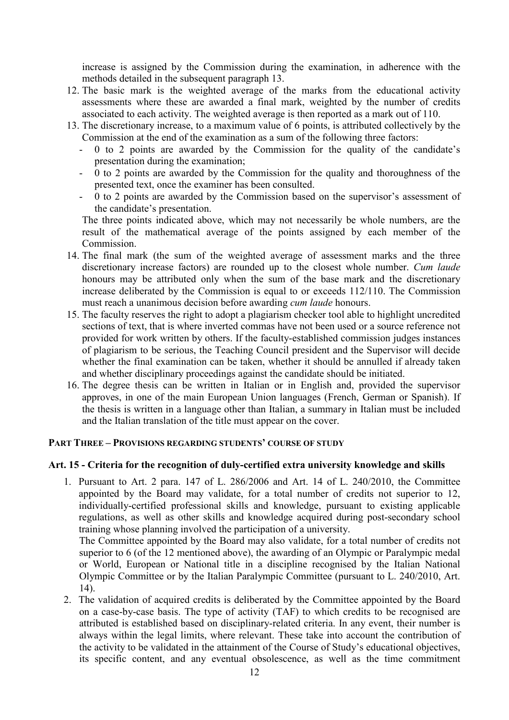increase is assigned by the Commission during the examination, in adherence with the methods detailed in the subsequent paragraph 13.

- 12. The basic mark is the weighted average of the marks from the educational activity assessments where these are awarded a final mark, weighted by the number of credits associated to each activity. The weighted average is then reported as a mark out of 110.
- 13. The discretionary increase, to a maximum value of 6 points, is attributed collectively by the Commission at the end of the examination as a sum of the following three factors:
	- 0 to 2 points are awarded by the Commission for the quality of the candidate's presentation during the examination;
	- 0 to 2 points are awarded by the Commission for the quality and thoroughness of the presented text, once the examiner has been consulted.
	- 0 to 2 points are awarded by the Commission based on the supervisor's assessment of the candidate's presentation.

The three points indicated above, which may not necessarily be whole numbers, are the result of the mathematical average of the points assigned by each member of the Commission.

- 14. The final mark (the sum of the weighted average of assessment marks and the three discretionary increase factors) are rounded up to the closest whole number. *Cum laude* honours may be attributed only when the sum of the base mark and the discretionary increase deliberated by the Commission is equal to or exceeds 112/110. The Commission must reach a unanimous decision before awarding *cum laude* honours.
- 15. The faculty reserves the right to adopt a plagiarism checker tool able to highlight uncredited sections of text, that is where inverted commas have not been used or a source reference not provided for work written by others. If the faculty-established commission judges instances of plagiarism to be serious, the Teaching Council president and the Supervisor will decide whether the final examination can be taken, whether it should be annulled if already taken and whether disciplinary proceedings against the candidate should be initiated.
- 16. The degree thesis can be written in Italian or in English and, provided the supervisor approves, in one of the main European Union languages (French, German or Spanish). If the thesis is written in a language other than Italian, a summary in Italian must be included and the Italian translation of the title must appear on the cover.

#### **PART THREE – PROVISIONS REGARDING STUDENTS' COURSE OF STUDY**

#### **Art. 15 - Criteria for the recognition of duly-certified extra university knowledge and skills**

1. Pursuant to Art. 2 para. 147 of L. 286/2006 and Art. 14 of L. 240/2010, the Committee appointed by the Board may validate, for a total number of credits not superior to 12, individually-certified professional skills and knowledge, pursuant to existing applicable regulations, as well as other skills and knowledge acquired during post-secondary school training whose planning involved the participation of a university.

The Committee appointed by the Board may also validate, for a total number of credits not superior to 6 (of the 12 mentioned above), the awarding of an Olympic or Paralympic medal or World, European or National title in a discipline recognised by the Italian National Olympic Committee or by the Italian Paralympic Committee (pursuant to L. 240/2010, Art. 14).

2. The validation of acquired credits is deliberated by the Committee appointed by the Board on a case-by-case basis. The type of activity (TAF) to which credits to be recognised are attributed is established based on disciplinary-related criteria. In any event, their number is always within the legal limits, where relevant. These take into account the contribution of the activity to be validated in the attainment of the Course of Study's educational objectives, its specific content, and any eventual obsolescence, as well as the time commitment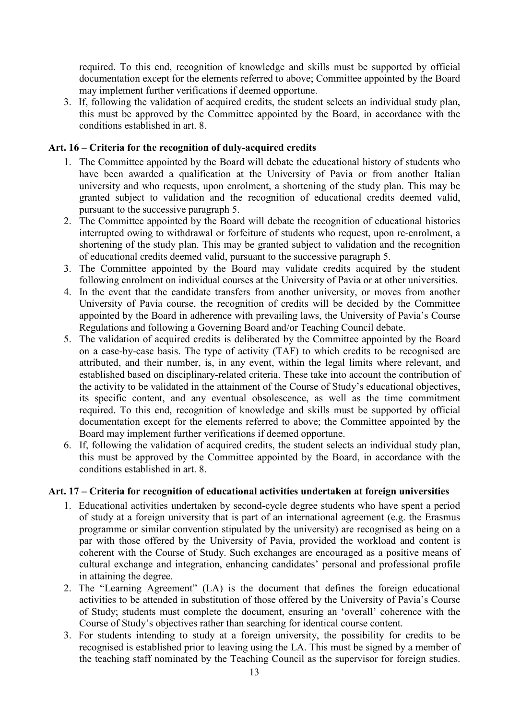required. To this end, recognition of knowledge and skills must be supported by official documentation except for the elements referred to above; Committee appointed by the Board may implement further verifications if deemed opportune.

3. If, following the validation of acquired credits, the student selects an individual study plan, this must be approved by the Committee appointed by the Board, in accordance with the conditions established in art. 8.

#### **Art. 16 – Criteria for the recognition of duly-acquired credits**

- 1. The Committee appointed by the Board will debate the educational history of students who have been awarded a qualification at the University of Pavia or from another Italian university and who requests, upon enrolment, a shortening of the study plan. This may be granted subject to validation and the recognition of educational credits deemed valid, pursuant to the successive paragraph 5.
- 2. The Committee appointed by the Board will debate the recognition of educational histories interrupted owing to withdrawal or forfeiture of students who request, upon re-enrolment, a shortening of the study plan. This may be granted subject to validation and the recognition of educational credits deemed valid, pursuant to the successive paragraph 5.
- 3. The Committee appointed by the Board may validate credits acquired by the student following enrolment on individual courses at the University of Pavia or at other universities.
- 4. In the event that the candidate transfers from another university, or moves from another University of Pavia course, the recognition of credits will be decided by the Committee appointed by the Board in adherence with prevailing laws, the University of Pavia's Course Regulations and following a Governing Board and/or Teaching Council debate.
- 5. The validation of acquired credits is deliberated by the Committee appointed by the Board on a case-by-case basis. The type of activity (TAF) to which credits to be recognised are attributed, and their number, is, in any event, within the legal limits where relevant, and established based on disciplinary-related criteria. These take into account the contribution of the activity to be validated in the attainment of the Course of Study's educational objectives, its specific content, and any eventual obsolescence, as well as the time commitment required. To this end, recognition of knowledge and skills must be supported by official documentation except for the elements referred to above; the Committee appointed by the Board may implement further verifications if deemed opportune.
- 6. If, following the validation of acquired credits, the student selects an individual study plan, this must be approved by the Committee appointed by the Board, in accordance with the conditions established in art. 8.

#### **Art. 17 – Criteria for recognition of educational activities undertaken at foreign universities**

- 1. Educational activities undertaken by second-cycle degree students who have spent a period of study at a foreign university that is part of an international agreement (e.g. the Erasmus programme or similar convention stipulated by the university) are recognised as being on a par with those offered by the University of Pavia, provided the workload and content is coherent with the Course of Study. Such exchanges are encouraged as a positive means of cultural exchange and integration, enhancing candidates' personal and professional profile in attaining the degree.
- 2. The "Learning Agreement" (LA) is the document that defines the foreign educational activities to be attended in substitution of those offered by the University of Pavia's Course of Study; students must complete the document, ensuring an 'overall' coherence with the Course of Study's objectives rather than searching for identical course content.
- 3. For students intending to study at a foreign university, the possibility for credits to be recognised is established prior to leaving using the LA. This must be signed by a member of the teaching staff nominated by the Teaching Council as the supervisor for foreign studies.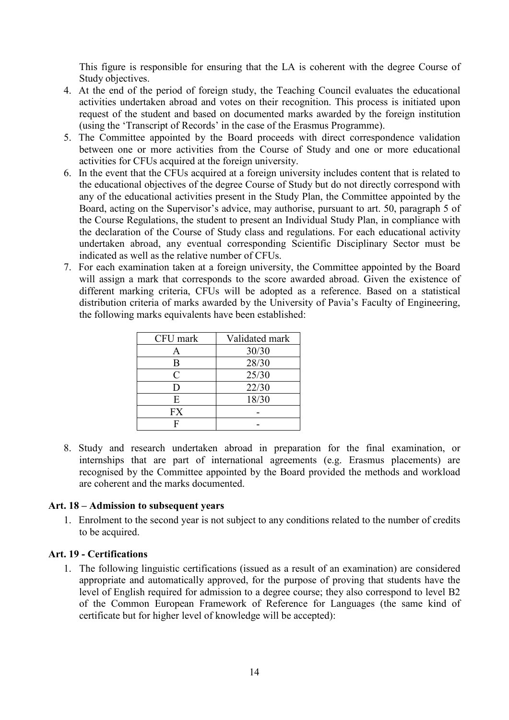This figure is responsible for ensuring that the LA is coherent with the degree Course of Study objectives.

- 4. At the end of the period of foreign study, the Teaching Council evaluates the educational activities undertaken abroad and votes on their recognition. This process is initiated upon request of the student and based on documented marks awarded by the foreign institution (using the 'Transcript of Records' in the case of the Erasmus Programme).
- 5. The Committee appointed by the Board proceeds with direct correspondence validation between one or more activities from the Course of Study and one or more educational activities for CFUs acquired at the foreign university.
- 6. In the event that the CFUs acquired at a foreign university includes content that is related to the educational objectives of the degree Course of Study but do not directly correspond with any of the educational activities present in the Study Plan, the Committee appointed by the Board, acting on the Supervisor's advice, may authorise, pursuant to art. 50, paragraph 5 of the Course Regulations, the student to present an Individual Study Plan, in compliance with the declaration of the Course of Study class and regulations. For each educational activity undertaken abroad, any eventual corresponding Scientific Disciplinary Sector must be indicated as well as the relative number of CFUs.
- 7. For each examination taken at a foreign university, the Committee appointed by the Board will assign a mark that corresponds to the score awarded abroad. Given the existence of different marking criteria, CFUs will be adopted as a reference. Based on a statistical distribution criteria of marks awarded by the University of Pavia's Faculty of Engineering, the following marks equivalents have been established:

| CFU mark       | Validated mark |
|----------------|----------------|
| Α              | 30/30          |
| В              | 28/30          |
| $\overline{C}$ | 25/30          |
| D              | 22/30          |
| E              | 18/30          |
| <b>FX</b>      |                |
| F              |                |

8. Study and research undertaken abroad in preparation for the final examination, or internships that are part of international agreements (e.g. Erasmus placements) are recognised by the Committee appointed by the Board provided the methods and workload are coherent and the marks documented.

#### **Art. 18 – Admission to subsequent years**

1. Enrolment to the second year is not subject to any conditions related to the number of credits to be acquired.

#### **Art. 19 - Certifications**

1. The following linguistic certifications (issued as a result of an examination) are considered appropriate and automatically approved, for the purpose of proving that students have the level of English required for admission to a degree course; they also correspond to level B2 of the Common European Framework of Reference for Languages (the same kind of certificate but for higher level of knowledge will be accepted):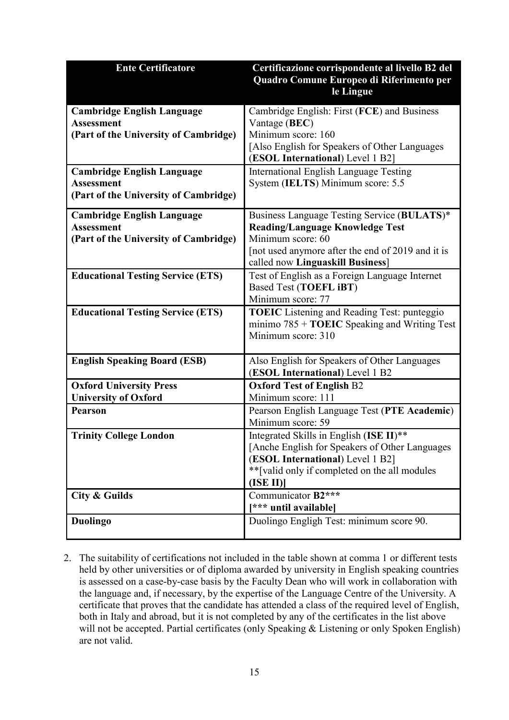| <b>Ente Certificatore</b>                                                                       | Certificazione corrispondente al livello B2 del<br>Quadro Comune Europeo di Riferimento per<br>le Lingue                                                                                                        |
|-------------------------------------------------------------------------------------------------|-----------------------------------------------------------------------------------------------------------------------------------------------------------------------------------------------------------------|
| <b>Cambridge English Language</b><br><b>Assessment</b><br>(Part of the University of Cambridge) | Cambridge English: First (FCE) and Business<br>Vantage (BEC)<br>Minimum score: 160<br>[Also English for Speakers of Other Languages<br>(ESOL International) Level 1 B2]                                         |
| <b>Cambridge English Language</b><br><b>Assessment</b><br>(Part of the University of Cambridge) | <b>International English Language Testing</b><br>System (IELTS) Minimum score: 5.5                                                                                                                              |
| <b>Cambridge English Language</b><br><b>Assessment</b><br>(Part of the University of Cambridge) | Business Language Testing Service (BULATS)*<br><b>Reading/Language Knowledge Test</b><br>Minimum score: 60<br>[not used anymore after the end of 2019 and it is<br>called now Linguaskill Business]             |
| <b>Educational Testing Service (ETS)</b>                                                        | Test of English as a Foreign Language Internet<br><b>Based Test (TOEFL iBT)</b><br>Minimum score: 77                                                                                                            |
| <b>Educational Testing Service (ETS)</b>                                                        | <b>TOEIC</b> Listening and Reading Test: punteggio<br>minimo $785 + \text{TOEIC}$ Speaking and Writing Test<br>Minimum score: 310                                                                               |
| <b>English Speaking Board (ESB)</b>                                                             | Also English for Speakers of Other Languages<br>(ESOL International) Level 1 B2                                                                                                                                 |
| <b>Oxford University Press</b><br><b>University of Oxford</b><br><b>Pearson</b>                 | <b>Oxford Test of English B2</b><br>Minimum score: 111<br>Pearson English Language Test (PTE Academic)                                                                                                          |
| <b>Trinity College London</b>                                                                   | Minimum score: 59<br>Integrated Skills in English (ISE II)**<br>[Anche English for Speakers of Other Languages<br>(ESOL International) Level 1 B2]<br>**[valid only if completed on the all modules<br>(ISE II) |
| <b>City &amp; Guilds</b>                                                                        | Communicator B2***<br>*** until available]                                                                                                                                                                      |
| <b>Duolingo</b>                                                                                 | Duolingo Engligh Test: minimum score 90.                                                                                                                                                                        |

2. The suitability of certifications not included in the table shown at comma 1 or different tests held by other universities or of diploma awarded by university in English speaking countries is assessed on a case-by-case basis by the Faculty Dean who will work in collaboration with the language and, if necessary, by the expertise of the Language Centre of the University. A certificate that proves that the candidate has attended a class of the required level of English, both in Italy and abroad, but it is not completed by any of the certificates in the list above will not be accepted. Partial certificates (only Speaking & Listening or only Spoken English) are not valid.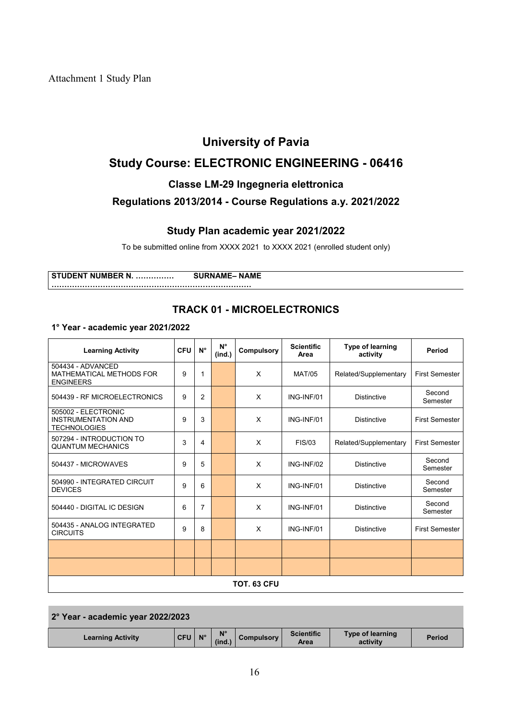Attachment 1 Study Plan

## **University of Pavia**

## **Study Course: ELECTRONIC ENGINEERING - 06416**

## **Classe LM-29 Ingegneria elettronica**

## **Regulations 2013/2014 - Course Regulations a.y. 2021/2022**

#### **Study Plan academic year 2021/2022**

To be submitted online from XXXX 2021 to XXXX 2021 (enrolled student only)

**STUDENT NUMBER N. …………… SURNAME– NAME** 

**……………………………………………………………………**

## **TRACK 01 - MICROELECTRONICS**

#### **1° Year - academic year 2021/2022**

| <b>Learning Activity</b>                                                 | <b>CFU</b> | $N^{\circ}$    | $N^{\circ}$<br>(ind.) | Compulsory  | <b>Scientific</b><br>Area | <b>Type of learning</b><br>activity | Period                |
|--------------------------------------------------------------------------|------------|----------------|-----------------------|-------------|---------------------------|-------------------------------------|-----------------------|
| 504434 - ADVANCED<br>MATHEMATICAL METHODS FOR<br><b>ENGINEERS</b>        | 9          | 1              |                       | X           | <b>MAT/05</b>             | Related/Supplementary               | <b>First Semester</b> |
| 504439 - RF MICROELECTRONICS                                             | 9          | $\overline{2}$ |                       | X           | ING-INF/01                | <b>Distinctive</b>                  | Second<br>Semester    |
| 505002 - ELECTRONIC<br><b>INSTRUMENTATION AND</b><br><b>TECHNOLOGIES</b> | 9          | 3              |                       | X           | ING-INF/01                | <b>Distinctive</b>                  | <b>First Semester</b> |
| 507294 - INTRODUCTION TO<br><b>QUANTUM MECHANICS</b>                     | 3          | 4              |                       | X           | <b>FIS/03</b>             | Related/Supplementary               | <b>First Semester</b> |
| 504437 - MICROWAVES                                                      | 9          | 5              |                       | X           | ING-INF/02                | <b>Distinctive</b>                  | Second<br>Semester    |
| 504990 - INTEGRATED CIRCUIT<br><b>DEVICES</b>                            | 9          | 6              |                       | X           | ING-INF/01                | <b>Distinctive</b>                  | Second<br>Semester    |
| 504440 - DIGITAL IC DESIGN                                               | 6          | 7              |                       | X           | ING-INF/01                | <b>Distinctive</b>                  | Second<br>Semester    |
| 504435 - ANALOG INTEGRATED<br><b>CIRCUITS</b>                            | 9          | 8              |                       | X           | ING-INF/01                | <b>Distinctive</b>                  | <b>First Semester</b> |
|                                                                          |            |                |                       |             |                           |                                     |                       |
|                                                                          |            |                |                       |             |                           |                                     |                       |
|                                                                          |            |                |                       | TOT. 63 CFU |                           |                                     |                       |

| 2° Year - academic year 2022/2023 |        |                       |            |                           |                                     |               |
|-----------------------------------|--------|-----------------------|------------|---------------------------|-------------------------------------|---------------|
| <b>Learning Activity</b>          | CFU N° | $N^{\circ}$<br>(ind.) | Compulsory | <b>Scientific</b><br>Area | <b>Type of learning</b><br>activity | <b>Period</b> |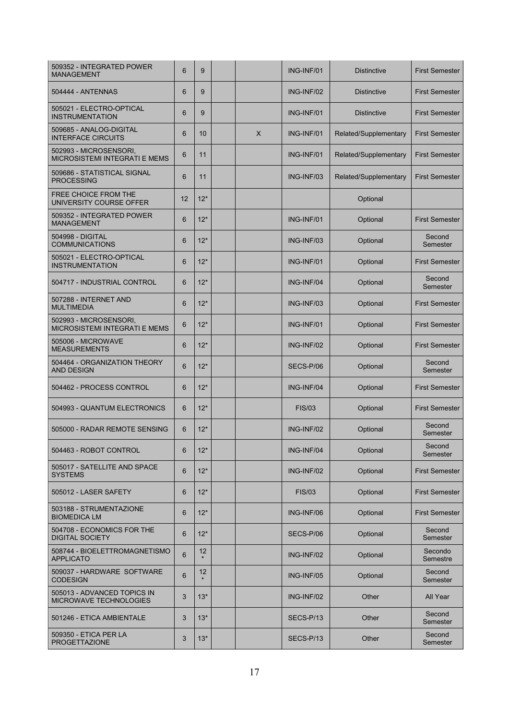| 509352 - INTEGRATED POWER<br><b>MANAGEMENT</b>                 | 6               | 9     |   | ING-INF/01    | <b>Distinctive</b>    | <b>First Semester</b> |
|----------------------------------------------------------------|-----------------|-------|---|---------------|-----------------------|-----------------------|
| 504444 - ANTENNAS                                              | 6               | 9     |   | ING-INF/02    | <b>Distinctive</b>    | <b>First Semester</b> |
| 505021 - ELECTRO-OPTICAL<br><b>INSTRUMENTATION</b>             | 6               | 9     |   | ING-INF/01    | <b>Distinctive</b>    | <b>First Semester</b> |
| 509685 - ANALOG-DIGITAL<br><b>INTERFACE CIRCUITS</b>           | 6               | 10    | X | ING-INF/01    | Related/Supplementary | <b>First Semester</b> |
| 502993 - MICROSENSORI,<br>MICROSISTEMI INTEGRATI E MEMS        | $6\phantom{1}6$ | 11    |   | ING-INF/01    | Related/Supplementary | <b>First Semester</b> |
| 509686 - STATISTICAL SIGNAL<br><b>PROCESSING</b>               | $6\phantom{1}6$ | 11    |   | ING-INF/03    | Related/Supplementary | <b>First Semester</b> |
| FREE CHOICE FROM THE<br>UNIVERSITY COURSE OFFER                | 12              | $12*$ |   |               | Optional              |                       |
| 509352 - INTEGRATED POWER<br><b>MANAGEMENT</b>                 | 6               | $12*$ |   | ING-INF/01    | Optional              | <b>First Semester</b> |
| 504998 - DIGITAL<br><b>COMMUNICATIONS</b>                      | 6               | $12*$ |   | ING-INF/03    | Optional              | Second<br>Semester    |
| 505021 - ELECTRO-OPTICAL<br><b>INSTRUMENTATION</b>             | 6               | $12*$ |   | ING-INF/01    | Optional              | <b>First Semester</b> |
| 504717 - INDUSTRIAL CONTROL                                    | 6               | $12*$ |   | ING-INF/04    | Optional              | Second<br>Semester    |
| 507288 - INTERNET AND<br><b>MULTIMEDIA</b>                     | $6\phantom{1}6$ | $12*$ |   | ING-INF/03    | Optional              | <b>First Semester</b> |
| 502993 - MICROSENSORI,<br><b>MICROSISTEMI INTEGRATI E MEMS</b> | 6               | $12*$ |   | ING-INF/01    | Optional              | <b>First Semester</b> |
| 505006 - MICROWAVE<br><b>MEASUREMENTS</b>                      | $6\phantom{1}6$ | $12*$ |   | ING-INF/02    | Optional              | <b>First Semester</b> |
| 504464 - ORGANIZATION THEORY<br><b>AND DESIGN</b>              | $6\phantom{1}6$ | $12*$ |   | SECS-P/06     | Optional              | Second<br>Semester    |
| 504462 - PROCESS CONTROL                                       | $6\phantom{1}6$ | $12*$ |   | ING-INF/04    | Optional              | <b>First Semester</b> |
| 504993 - QUANTUM ELECTRONICS                                   | $6\phantom{1}6$ | $12*$ |   | <b>FIS/03</b> | Optional              | <b>First Semester</b> |
| 505000 - RADAR REMOTE SENSING                                  | 6               | $12*$ |   | ING-INF/02    | Optional              | Second<br>Semester    |
| 504463 - ROBOT CONTROL                                         | 6               | $12*$ |   | ING-INF/04    | Optional              | Second<br>Semester    |
| 505017 - SATELLITE AND SPACE<br><b>SYSTEMS</b>                 | 6               | $12*$ |   | ING-INF/02    | Optional              | <b>First Semester</b> |
| 505012 - LASER SAFETY                                          | 6               | $12*$ |   | <b>FIS/03</b> | Optional              | <b>First Semester</b> |
| 503188 - STRUMENTAZIONE<br><b>BIOMEDICA LM</b>                 | 6               | $12*$ |   | ING-INF/06    | Optional              | <b>First Semester</b> |
| 504708 - ECONOMICS FOR THE<br><b>DIGITAL SOCIETY</b>           | 6               | $12*$ |   | SECS-P/06     | Optional              | Second<br>Semester    |
| 508744 - BIOELETTROMAGNETISMO<br><b>APPLICATO</b>              | 6               | 12    |   | ING-INF/02    | Optional              | Secondo<br>Semestre   |
| 509037 - HARDWARE SOFTWARE<br><b>CODESIGN</b>                  | 6               | 12    |   | ING-INF/05    | Optional              | Second<br>Semester    |
| 505013 - ADVANCED TOPICS IN<br>MICROWAVE TECHNOLOGIES          | 3               | $13*$ |   | ING-INF/02    | Other                 | All Year              |
| 501246 - ETICA AMBIENTALE                                      | 3               | $13*$ |   | SECS-P/13     | Other                 | Second<br>Semester    |
| 509350 - ETICA PER LA<br><b>PROGETTAZIONE</b>                  | 3               | $13*$ |   | SECS-P/13     | Other                 | Second<br>Semester    |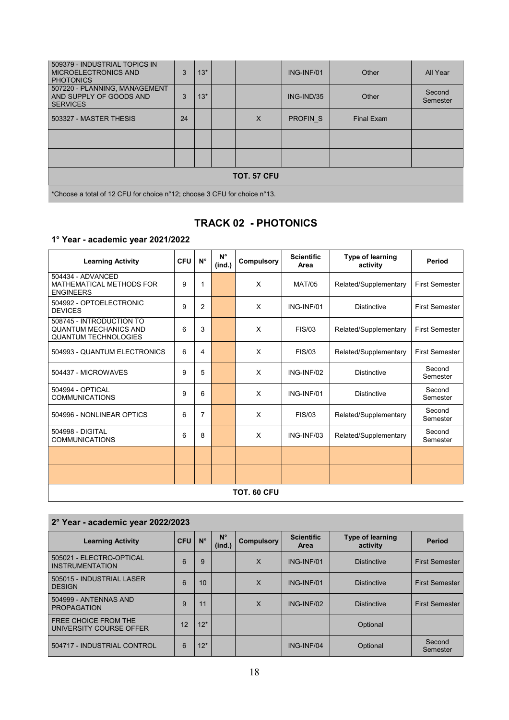| 509379 - INDUSTRIAL TOPICS IN<br><b>MICROELECTRONICS AND</b><br><b>PHOTONICS</b> | 3                           | $13*$ |  |   | ING-INF/01          | Other             | All Year           |  |  |  |  |
|----------------------------------------------------------------------------------|-----------------------------|-------|--|---|---------------------|-------------------|--------------------|--|--|--|--|
| 507220 - PLANNING, MANAGEMENT<br>AND SUPPLY OF GOODS AND<br><b>SERVICES</b>      | 3                           | $13*$ |  |   | ING-IND/35          | Other             | Second<br>Semester |  |  |  |  |
| 503327 - MASTER THESIS                                                           | 24                          |       |  | X | PROFIN <sub>S</sub> | <b>Final Exam</b> |                    |  |  |  |  |
|                                                                                  |                             |       |  |   |                     |                   |                    |  |  |  |  |
|                                                                                  |                             |       |  |   |                     |                   |                    |  |  |  |  |
| <b>TOT. 57 CFU</b>                                                               |                             |       |  |   |                     |                   |                    |  |  |  |  |
| $\sim$ $\sim$ $\sim$<br>.                                                        | $\sim$ $\sim$ $\sim$ $\sim$ |       |  |   |                     |                   |                    |  |  |  |  |

\*Choose a total of 12 CFU for choice n°12; choose 3 CFU for choice n°13.

## **TRACK 02 - PHOTONICS**

## **1° Year - academic year 2021/2022**

| <b>Learning Activity</b>                                                                | <b>CFU</b> | $\mathsf{N}^\circ$ | $N^{\circ}$<br>(ind.) | <b>Compulsory</b> | <b>Scientific</b><br>Area | Type of learning<br>activity | <b>Period</b>         |
|-----------------------------------------------------------------------------------------|------------|--------------------|-----------------------|-------------------|---------------------------|------------------------------|-----------------------|
| 504434 - ADVANCED<br>MATHEMATICAL METHODS FOR<br><b>ENGINEERS</b>                       | 9          | 1                  |                       | X                 | <b>MAT/05</b>             | Related/Supplementary        | <b>First Semester</b> |
| 504992 - OPTOELECTRONIC<br><b>DEVICES</b>                                               | 9          | $\overline{2}$     |                       | $\times$          | ING-INF/01                | <b>Distinctive</b>           | <b>First Semester</b> |
| 508745 - INTRODUCTION TO<br><b>QUANTUM MECHANICS AND</b><br><b>QUANTUM TECHNOLOGIES</b> | 6          | 3                  |                       | X                 | FIS/03                    | Related/Supplementary        | <b>First Semester</b> |
| 504993 - QUANTUM ELECTRONICS                                                            | 6          | 4                  |                       | $\times$          | <b>FIS/03</b>             | Related/Supplementary        | <b>First Semester</b> |
| 504437 - MICROWAVES                                                                     | 9          | 5                  |                       | X                 | ING-INF/02                | <b>Distinctive</b>           | Second<br>Semester    |
| 504994 - OPTICAL<br><b>COMMUNICATIONS</b>                                               | 9          | 6                  |                       | X                 | ING-INF/01                | <b>Distinctive</b>           | Second<br>Semester    |
| 504996 - NONLINEAR OPTICS                                                               | 6          | 7                  |                       | X                 | <b>FIS/03</b>             | Related/Supplementary        | Second<br>Semester    |
| 504998 - DIGITAL<br><b>COMMUNICATIONS</b>                                               | 6          | 8                  |                       | X                 | ING-INF/03                | Related/Supplementary        | Second<br>Semester    |
|                                                                                         |            |                    |                       |                   |                           |                              |                       |
|                                                                                         |            |                    |                       |                   |                           |                              |                       |
|                                                                                         |            |                    |                       | TOT 60 CELL       |                           |                              |                       |

**TOT. 60 CFU**

| 2° Year - academic year 2022/2023                      |            |             |                       |                   |                                  |                                     |                       |  |  |  |  |  |  |
|--------------------------------------------------------|------------|-------------|-----------------------|-------------------|----------------------------------|-------------------------------------|-----------------------|--|--|--|--|--|--|
| <b>Learning Activity</b>                               | <b>CFU</b> | $N^{\circ}$ | $N^{\circ}$<br>(ind.) | <b>Compulsory</b> | <b>Scientific</b><br><b>Area</b> | <b>Type of learning</b><br>activity | <b>Period</b>         |  |  |  |  |  |  |
| 505021 - ELECTRO-OPTICAL<br><b>INSTRUMENTATION</b>     | 6          | 9           |                       | X                 | ING-INF/01                       | <b>Distinctive</b>                  | <b>First Semester</b> |  |  |  |  |  |  |
| 505015 - INDUSTRIAL LASER<br><b>DESIGN</b>             | 6          | 10          |                       | X                 | ING-INF/01                       | <b>Distinctive</b>                  | <b>First Semester</b> |  |  |  |  |  |  |
| 504999 - ANTENNAS AND<br><b>PROPAGATION</b>            | 9          | 11          |                       | X                 | ING-INF/02                       | <b>Distinctive</b>                  | <b>First Semester</b> |  |  |  |  |  |  |
| <b>FREE CHOICE FROM THE</b><br>UNIVERSITY COURSE OFFER | 12         | $12*$       |                       |                   |                                  | Optional                            |                       |  |  |  |  |  |  |
| 504717 - INDUSTRIAL CONTROL                            | 6          | $12*$       |                       |                   | ING-INF/04                       | Optional                            | Second<br>Semester    |  |  |  |  |  |  |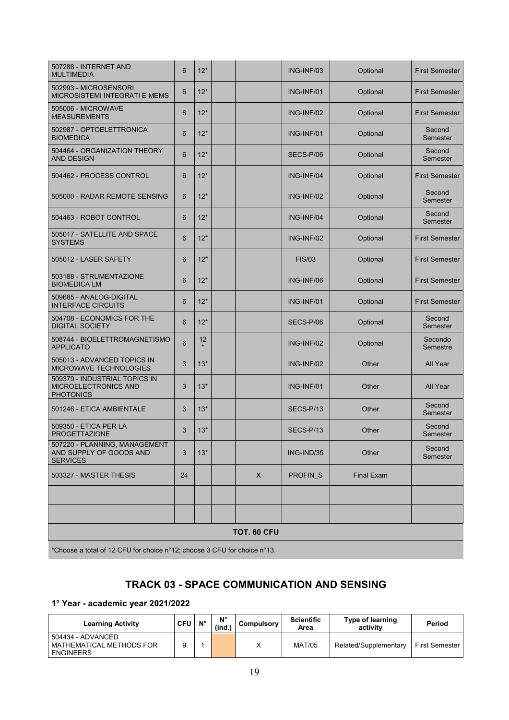| 507288 - INTERNET AND<br><b>MULTIMEDIA</b>                                  | 6               | $12*$ |              | ING-INF/03    | Optional          | <b>First Semester</b> |
|-----------------------------------------------------------------------------|-----------------|-------|--------------|---------------|-------------------|-----------------------|
| 502993 - MICROSENSORI,<br>MICROSISTEMI INTEGRATI E MEMS                     | 6               | $12*$ |              | ING-INF/01    | Optional          | <b>First Semester</b> |
| 505006 - MICROWAVE<br><b>MEASUREMENTS</b>                                   | 6               | $12*$ |              | ING-INF/02    | Optional          | <b>First Semester</b> |
| 502987 - OPTOELETTRONICA<br><b>BIOMEDICA</b>                                | $6\phantom{1}6$ | $12*$ |              | ING-INF/01    | Optional          | Second<br>Semester    |
| 504464 - ORGANIZATION THEORY<br><b>AND DESIGN</b>                           | $6\phantom{1}6$ | $12*$ |              | SECS-P/06     | Optional          | Second<br>Semester    |
| 504462 - PROCESS CONTROL                                                    | $6\phantom{1}6$ | $12*$ |              | ING-INF/04    | Optional          | <b>First Semester</b> |
| 505000 - RADAR REMOTE SENSING                                               | $6\phantom{1}6$ | $12*$ |              | ING-INF/02    | Optional          | Second<br>Semester    |
| 504463 - ROBOT CONTROL                                                      | $6\phantom{1}6$ | $12*$ |              | ING-INF/04    | Optional          | Second<br>Semester    |
| 505017 - SATELLITE AND SPACE<br><b>SYSTEMS</b>                              | 6               | $12*$ |              | ING-INF/02    | Optional          | <b>First Semester</b> |
| 505012 - LASER SAFETY                                                       | $6\phantom{1}6$ | $12*$ |              | <b>FIS/03</b> | Optional          | <b>First Semester</b> |
| 503188 - STRUMENTAZIONE<br><b>BIOMEDICA LM</b>                              | 6               | $12*$ |              | ING-INF/06    | Optional          | <b>First Semester</b> |
| 509685 - ANALOG-DIGITAL<br><b>INTERFACE CIRCUITS</b>                        | 6               | $12*$ |              | ING-INF/01    | Optional          | <b>First Semester</b> |
| 504708 - ECONOMICS FOR THE<br><b>DIGITAL SOCIETY</b>                        | 6               | $12*$ |              | SECS-P/06     | Optional          | Second<br>Semester    |
| 508744 - BIOELETTROMAGNETISMO<br><b>APPLICATO</b>                           | $6\phantom{1}6$ | 12    |              | ING-INF/02    | Optional          | Secondo<br>Semestre   |
| 505013 - ADVANCED TOPICS IN<br>MICROWAVE TECHNOLOGIES                       | 3               | $13*$ |              | ING-INF/02    | Other             | All Year              |
| 509379 - INDUSTRIAL TOPICS IN<br>MICROELECTRONICS AND<br><b>PHOTONICS</b>   | 3               | $13*$ |              | ING-INF/01    | Other             | All Year              |
| 501246 - ETICA AMBIENTALE                                                   | 3               | $13*$ |              | SECS-P/13     | Other             | Second<br>Semester    |
| 509350 - ETICA PER LA<br><b>PROGETTAZIONE</b>                               | 3               | $13*$ |              | SECS-P/13     | Other             | Second<br>Semester    |
| 507220 - PLANNING, MANAGEMENT<br>AND SUPPLY OF GOODS AND<br><b>SERVICES</b> | 3               | $13*$ |              | ING-IND/35    | Other             | Second<br>Semester    |
| 503327 - MASTER THESIS                                                      | 24              |       | $\mathsf{X}$ | PROFIN S      | <b>Final Exam</b> |                       |
|                                                                             |                 |       |              |               |                   |                       |
|                                                                             |                 |       |              |               |                   |                       |
|                                                                             |                 |       | TOT. 60 CFU  |               |                   |                       |
|                                                                             |                 |       |              |               |                   |                       |

\*Choose a total of 12 CFU for choice n°12; choose 3 CFU for choice n°13.

## **TRACK 03 - SPACE COMMUNICATION AND SENSING**

#### **1° Year - academic year 2021/2022**

| <b>Learning Activity</b>                                          | <b>CFU N°</b> | Ν°<br>(ind. | Compulsory | <b>Scientific</b><br>Area | Type of learning<br>activity | Period                |
|-------------------------------------------------------------------|---------------|-------------|------------|---------------------------|------------------------------|-----------------------|
| 504434 - ADVANCED<br>MATHEMATICAL METHODS FOR<br><b>ENGINEERS</b> |               |             |            | <b>MAT/05</b>             | Related/Supplementary        | <b>First Semester</b> |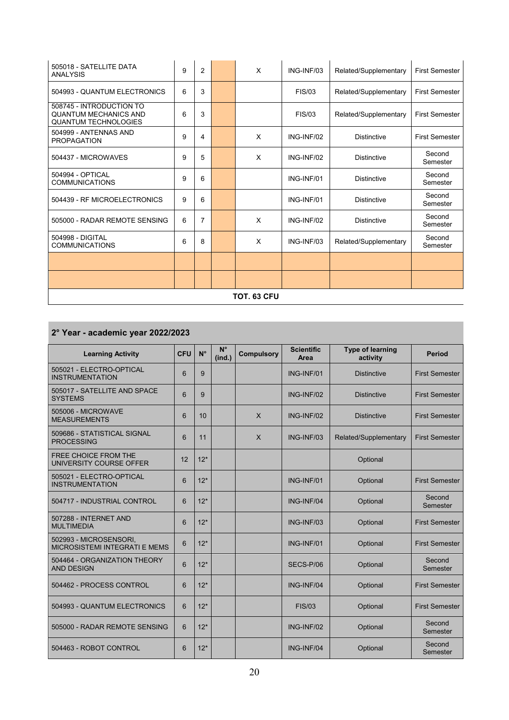| TOT. 63 CFU                                                                             |   |   |  |          |               |                       |                       |
|-----------------------------------------------------------------------------------------|---|---|--|----------|---------------|-----------------------|-----------------------|
|                                                                                         |   |   |  |          |               |                       |                       |
|                                                                                         |   |   |  |          |               |                       |                       |
| 504998 - DIGITAL<br><b>COMMUNICATIONS</b>                                               | 6 | 8 |  | $\times$ | ING-INF/03    | Related/Supplementary | Second<br>Semester    |
| 505000 - RADAR REMOTE SENSING                                                           | 6 | 7 |  | X        | ING-INF/02    | <b>Distinctive</b>    | Second<br>Semester    |
| 504439 - RF MICROELECTRONICS                                                            | 9 | 6 |  |          | ING-INF/01    | <b>Distinctive</b>    | Second<br>Semester    |
| 504994 - OPTICAL<br><b>COMMUNICATIONS</b>                                               | 9 | 6 |  |          | ING-INF/01    | <b>Distinctive</b>    | Second<br>Semester    |
| 504437 - MICROWAVES                                                                     | 9 | 5 |  | $\times$ | ING-INF/02    | <b>Distinctive</b>    | Second<br>Semester    |
| 504999 - ANTENNAS AND<br><b>PROPAGATION</b>                                             | 9 | 4 |  | $\times$ | ING-INF/02    | <b>Distinctive</b>    | <b>First Semester</b> |
| 508745 - INTRODUCTION TO<br><b>QUANTUM MECHANICS AND</b><br><b>QUANTUM TECHNOLOGIES</b> | 6 | 3 |  |          | <b>FIS/03</b> | Related/Supplementary | <b>First Semester</b> |
| 504993 - QUANTUM ELECTRONICS                                                            | 6 | 3 |  |          | <b>FIS/03</b> | Related/Supplementary | <b>First Semester</b> |
| 505018 - SATELLITE DATA<br><b>ANALYSIS</b>                                              | 9 | 2 |  | $\times$ | ING-INF/03    | Related/Supplementary | <b>First Semester</b> |

| 2° Year - academic year 2022/2023                       |            |             |                       |                   |                           |                                     |                       |
|---------------------------------------------------------|------------|-------------|-----------------------|-------------------|---------------------------|-------------------------------------|-----------------------|
| <b>Learning Activity</b>                                | <b>CFU</b> | $N^{\circ}$ | $N^{\circ}$<br>(ind.) | <b>Compulsory</b> | <b>Scientific</b><br>Area | <b>Type of learning</b><br>activity | Period                |
| 505021 - ELECTRO-OPTICAL<br><b>INSTRUMENTATION</b>      | 6          | 9           |                       |                   | ING-INF/01                | <b>Distinctive</b>                  | <b>First Semester</b> |
| 505017 - SATELLITE AND SPACE<br><b>SYSTEMS</b>          | 6          | 9           |                       |                   | ING-INF/02                | <b>Distinctive</b>                  | <b>First Semester</b> |
| 505006 - MICROWAVE<br><b>MEASUREMENTS</b>               | 6          | 10          |                       | $\times$          | ING-INF/02                | <b>Distinctive</b>                  | <b>First Semester</b> |
| 509686 - STATISTICAL SIGNAL<br><b>PROCESSING</b>        | 6          | 11          |                       | $\times$          | ING-INF/03                | Related/Supplementary               | <b>First Semester</b> |
| <b>FREE CHOICE FROM THE</b><br>UNIVERSITY COURSE OFFER  | 12         | $12*$       |                       |                   |                           | Optional                            |                       |
| 505021 - ELECTRO-OPTICAL<br><b>INSTRUMENTATION</b>      | 6          | $12*$       |                       |                   | ING-INF/01                | Optional                            | <b>First Semester</b> |
| 504717 - INDUSTRIAL CONTROL                             | 6          | $12*$       |                       |                   | ING-INF/04                | Optional                            | Second<br>Semester    |
| 507288 - INTERNET AND<br><b>MULTIMEDIA</b>              | 6          | $12*$       |                       |                   | ING-INF/03                | Optional                            | <b>First Semester</b> |
| 502993 - MICROSENSORI,<br>MICROSISTEMI INTEGRATI E MEMS | 6          | $12*$       |                       |                   | ING-INF/01                | Optional                            | <b>First Semester</b> |
| 504464 - ORGANIZATION THEORY<br><b>AND DESIGN</b>       | 6          | $12*$       |                       |                   | SECS-P/06                 | Optional                            | Second<br>Semester    |
| 504462 - PROCESS CONTROL                                | 6          | $12*$       |                       |                   | ING-INF/04                | Optional                            | <b>First Semester</b> |
| 504993 - QUANTUM ELECTRONICS                            | 6          | $12*$       |                       |                   | <b>FIS/03</b>             | Optional                            | <b>First Semester</b> |
| 505000 - RADAR REMOTE SENSING                           | 6          | $12*$       |                       |                   | ING-INF/02                | Optional                            | Second<br>Semester    |
| 504463 - ROBOT CONTROL                                  | 6          | $12*$       |                       |                   | ING-INF/04                | Optional                            | Second<br>Semester    |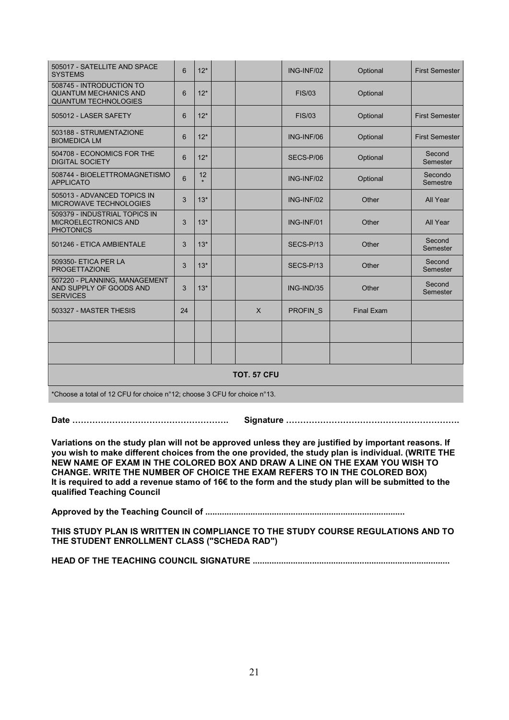| 505017 - SATELLITE AND SPACE<br><b>SYSTEMS</b>                                          | 6  | $12*$ |  |              | ING-INF/02    | Optional          | <b>First Semester</b> |  |
|-----------------------------------------------------------------------------------------|----|-------|--|--------------|---------------|-------------------|-----------------------|--|
| 508745 - INTRODUCTION TO<br><b>QUANTUM MECHANICS AND</b><br><b>QUANTUM TECHNOLOGIES</b> | 6  | $12*$ |  |              | <b>FIS/03</b> | Optional          |                       |  |
| 505012 - LASER SAFETY                                                                   | 6  | $12*$ |  |              | <b>FIS/03</b> | Optional          | <b>First Semester</b> |  |
| 503188 - STRUMENTAZIONE<br><b>BIOMEDICA LM</b>                                          | 6  | $12*$ |  |              | ING-INF/06    | Optional          | <b>First Semester</b> |  |
| 504708 - ECONOMICS FOR THE<br><b>DIGITAL SOCIETY</b>                                    | 6  | $12*$ |  |              | SECS-P/06     | Optional          | Second<br>Semester    |  |
| 508744 - BIOELETTROMAGNETISMO<br><b>APPLICATO</b>                                       | 6  | 12    |  |              | ING-INF/02    | Optional          | Secondo<br>Semestre   |  |
| 505013 - ADVANCED TOPICS IN<br>MICROWAVE TECHNOLOGIES                                   | 3  | $13*$ |  |              | ING-INF/02    | Other             | All Year              |  |
| 509379 - INDUSTRIAL TOPICS IN<br><b>MICROELECTRONICS AND</b><br><b>PHOTONICS</b>        | 3  | $13*$ |  |              | ING-INF/01    | Other             | All Year              |  |
| 501246 - ETICA AMBIENTALE                                                               | 3  | $13*$ |  |              | SECS-P/13     | Other             | Second<br>Semester    |  |
| 509350- ETICA PER LA<br><b>PROGETTAZIONE</b>                                            | 3  | $13*$ |  |              | SECS-P/13     | Other             | Second<br>Semester    |  |
| 507220 - PLANNING, MANAGEMENT<br>AND SUPPLY OF GOODS AND<br><b>SERVICES</b>             | 3  | $13*$ |  |              | ING-IND/35    | Other             | Second<br>Semester    |  |
| 503327 - MASTER THESIS                                                                  | 24 |       |  | $\mathsf{X}$ | PROFIN S      | <b>Final Exam</b> |                       |  |
|                                                                                         |    |       |  |              |               |                   |                       |  |
|                                                                                         |    |       |  |              |               |                   |                       |  |
| <b>TOT. 57 CFU</b>                                                                      |    |       |  |              |               |                   |                       |  |

\*Choose a total of 12 CFU for choice n°12; choose 3 CFU for choice n°13.

**Date ………………………………………………. Signature …………………………………………………….**

**Variations on the study plan will not be approved unless they are justified by important reasons. If you wish to make different choices from the one provided, the study plan is individual. (WRITE THE NEW NAME OF EXAM IN THE COLORED BOX AND DRAW A LINE ON THE EXAM YOU WISH TO CHANGE. WRITE THE NUMBER OF CHOICE THE EXAM REFERS TO IN THE COLORED BOX) It is required to add a revenue stamo of 16€ to the form and the study plan will be submitted to the qualified Teaching Council**

**Approved by the Teaching Council of ....................................................................................** 

**THIS STUDY PLAN IS WRITTEN IN COMPLIANCE TO THE STUDY COURSE REGULATIONS AND TO THE STUDENT ENROLLMENT CLASS ("SCHEDA RAD")**

**HEAD OF THE TEACHING COUNCIL SIGNATURE ...................................................................................**